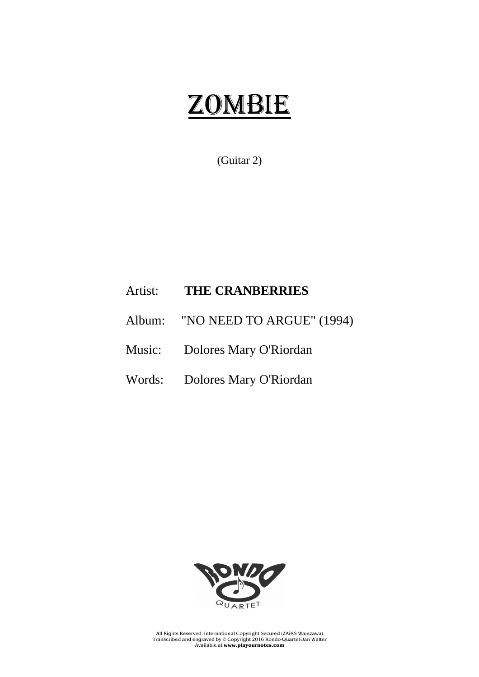## ZOMBIE

(Guitar 2)

## Artist: **THE CRANBERRIES**

- Album: "NO NEED TO ARGUE" (1994)
- Music: Dolores Mary O'Riordan
- Words: Dolores Mary O'Riordan



All Rights Reserved. International Copyright Secured (ZAiKS Warszawa) Transcribed and engraved by © Copyright 2016 Rondo-Quartet-Jan Walter Available at **www.playournotes.com**